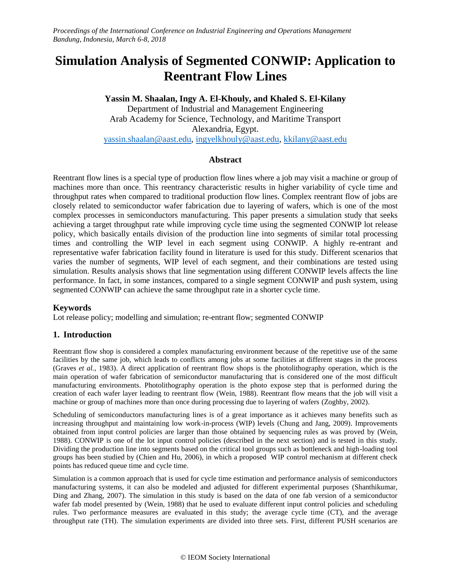# **Simulation Analysis of Segmented CONWIP: Application to Reentrant Flow Lines**

**Yassin M. Shaalan, Ingy A. El-Khouly, and Khaled S. El-Kilany** Department of Industrial and Management Engineering Arab Academy for Science, Technology, and Maritime Transport Alexandria, Egypt. [yassin.shaalan@aa](mailto:yassin.shaalan@a)st.edu, [ingyelkhouly@aast.edu,](mailto:ingyelkhouly@aast.edu) [kkilany@aast.edu](mailto:kkilany@aast.edu)

# **Abstract**

Reentrant flow lines is a special type of production flow lines where a job may visit a machine or group of machines more than once. This reentrancy characteristic results in higher variability of cycle time and throughput rates when compared to traditional production flow lines. Complex reentrant flow of jobs are closely related to semiconductor wafer fabrication due to layering of wafers, which is one of the most complex processes in semiconductors manufacturing. This paper presents a simulation study that seeks achieving a target throughput rate while improving cycle time using the segmented CONWIP lot release policy, which basically entails division of the production line into segments of similar total processing times and controlling the WIP level in each segment using CONWIP. A highly re-entrant and representative wafer fabrication facility found in literature is used for this study. Different scenarios that varies the number of segments, WIP level of each segment, and their combinations are tested using simulation. Results analysis shows that line segmentation using different CONWIP levels affects the line performance. In fact, in some instances, compared to a single segment CONWIP and push system, using segmented CONWIP can achieve the same throughput rate in a shorter cycle time.

# **Keywords**

Lot release policy; modelling and simulation; re-entrant flow; segmented CONWIP

# **1. Introduction**

Reentrant flow shop is considered a complex manufacturing environment because of the repetitive use of the same facilities by the same job, which leads to conflicts among jobs at some facilities at different stages in the process (Graves *et al.*, 1983). A direct application of reentrant flow shops is the photolithography operation, which is the main operation of wafer fabrication of semiconductor manufacturing that is considered one of the most difficult manufacturing environments. Photolithography operation is the photo expose step that is performed during the creation of each wafer layer leading to reentrant flow (Wein, 1988). Reentrant flow means that the job will visit a machine or group of machines more than once during processing due to layering of wafers (Zoghby, 2002).

Scheduling of semiconductors manufacturing lines is of a great importance as it achieves many benefits such as increasing throughput and maintaining low work-in-process (WIP) levels (Chung and Jang, 2009). Improvements obtained from input control policies are larger than those obtained by sequencing rules as was proved by (Wein, 1988). CONWIP is one of the lot input control policies (described in the next section) and is tested in this study. Dividing the production line into segments based on the critical tool groups such as bottleneck and high-loading tool groups has been studied by (Chien and Hu, 2006), in which a proposed WIP control mechanism at different check points has reduced queue time and cycle time.

Simulation is a common approach that is used for cycle time estimation and performance analysis of semiconductors manufacturing systems, it can also be modeled and adjusted for different experimental purposes (Shanthikumar, Ding and Zhang, 2007). The simulation in this study is based on the data of one fab version of a semiconductor wafer fab model presented by (Wein, 1988) that he used to evaluate different input control policies and scheduling rules. Two performance measures are evaluated in this study; the average cycle time (CT), and the average throughput rate (TH). The simulation experiments are divided into three sets. First, different PUSH scenarios are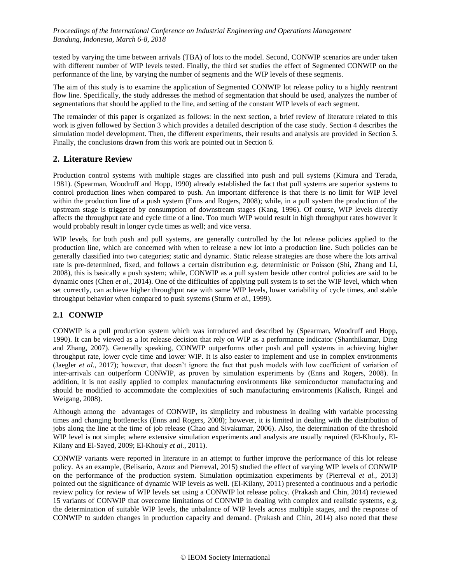tested by varying the time between arrivals (TBA) of lots to the model. Second, CONWIP scenarios are under taken with different number of WIP levels tested. Finally, the third set studies the effect of Segmented CONWIP on the performance of the line, by varying the number of segments and the WIP levels of these segments.

The aim of this study is to examine the application of Segmented CONWIP lot release policy to a highly reentrant flow line. Specifically, the study addresses the method of segmentation that should be used, analyzes the number of segmentations that should be applied to the line, and setting of the constant WIP levels of each segment.

The remainder of this paper is organized as follows: in the next section, a brief review of literature related to this work is given followed by Section 3 which provides a detailed description of the case study. Section 4 describes the simulation model development. Then, the different experiments, their results and analysis are provided in Section 5. Finally, the conclusions drawn from this work are pointed out in Section 6.

## **2. Literature Review**

Production control systems with multiple stages are classified into push and pull systems (Kimura and Terada, 1981). (Spearman, Woodruff and Hopp, 1990) already established the fact that pull systems are superior systems to control production lines when compared to push. An important difference is that there is no limit for WIP level within the production line of a push system (Enns and Rogers, 2008); while, in a pull system the production of the upstream stage is triggered by consumption of downstream stages (Kang, 1996). Of course, WIP levels directly affects the throughput rate and cycle time of a line. Too much WIP would result in high throughput rates however it would probably result in longer cycle times as well; and vice versa.

WIP levels, for both push and pull systems, are generally controlled by the lot release policies applied to the production line, which are concerned with when to release a new lot into a production line. Such policies can be generally classified into two categories; static and dynamic. Static release strategies are those where the lots arrival rate is pre-determined, fixed, and follows a certain distribution e.g. deterministic or Poisson (Shi, Zhang and Li, 2008), this is basically a push system; while, CONWIP as a pull system beside other control policies are said to be dynamic ones (Chen *et al.*, 2014). One of the difficulties of applying pull system is to set the WIP level, which when set correctly, can achieve higher throughput rate with same WIP levels, lower variability of cycle times, and stable throughput behavior when compared to push systems (Sturm *et al.*, 1999).

## **2.1 CONWIP**

CONWIP is a pull production system which was introduced and described by (Spearman, Woodruff and Hopp, 1990). It can be viewed as a lot release decision that rely on WIP as a performance indicator (Shanthikumar, Ding and Zhang, 2007). Generally speaking, CONWIP outperforms other push and pull systems in achieving higher throughput rate, lower cycle time and lower WIP. It is also easier to implement and use in complex environments (Jaegler *et al.*, 2017); however, that doesn't ignore the fact that push models with low coefficient of variation of inter-arrivals can outperform CONWIP, as proven by simulation experiments by (Enns and Rogers, 2008). In addition, it is not easily applied to complex manufacturing environments like semiconductor manufacturing and should be modified to accommodate the complexities of such manufacturing environments (Kalisch, Ringel and Weigang, 2008).

Although among the advantages of CONWIP, its simplicity and robustness in dealing with variable processing times and changing bottlenecks (Enns and Rogers, 2008); however, it is limited in dealing with the distribution of jobs along the line at the time of job release (Chao and Sivakumar, 2006). Also, the determination of the threshold WIP level is not simple; where extensive simulation experiments and analysis are usually required (El-Khouly, El-Kilany and El-Sayed, 2009; El-Khouly *et al.*, 2011).

CONWIP variants were reported in literature in an attempt to further improve the performance of this lot release policy. As an example, (Belisario, Azouz and Pierreval, 2015) studied the effect of varying WIP levels of CONWIP on the performance of the production system. Simulation optimization experiments by (Pierreval *et al.*, 2013) pointed out the significance of dynamic WIP levels as well. (El-Kilany, 2011) presented a continuous and a periodic review policy for review of WIP levels set using a CONWIP lot release policy. (Prakash and Chin, 2014) reviewed 15 variants of CONWIP that overcome limitations of CONWIP in dealing with complex and realistic systems, e.g. the determination of suitable WIP levels, the unbalance of WIP levels across multiple stages, and the response of CONWIP to sudden changes in production capacity and demand. (Prakash and Chin, 2014) also noted that these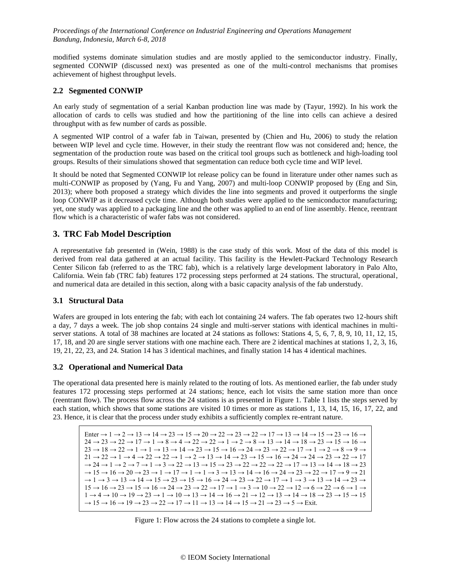modified systems dominate simulation studies and are mostly applied to the semiconductor industry. Finally, segmented CONWIP (discussed next) was presented as one of the multi-control mechanisms that promises achievement of highest throughput levels.

### **2.2 Segmented CONWIP**

An early study of segmentation of a serial Kanban production line was made by (Tayur, 1992). In his work the allocation of cards to cells was studied and how the partitioning of the line into cells can achieve a desired throughput with as few number of cards as possible.

A segmented WIP control of a wafer fab in Taiwan, presented by (Chien and Hu, 2006) to study the relation between WIP level and cycle time. However, in their study the reentrant flow was not considered and; hence, the segmentation of the production route was based on the critical tool groups such as bottleneck and high-loading tool groups. Results of their simulations showed that segmentation can reduce both cycle time and WIP level.

It should be noted that Segmented CONWIP lot release policy can be found in literature under other names such as multi-CONWIP as proposed by (Yang, Fu and Yang, 2007) and multi-loop CONWIP proposed by (Eng and Sin, 2013); where both proposed a strategy which divides the line into segments and proved it outperforms the single loop CONWIP as it decreased cycle time. Although both studies were applied to the semiconductor manufacturing; yet, one study was applied to a packaging line and the other was applied to an end of line assembly. Hence, reentrant flow which is a characteristic of wafer fabs was not considered.

## **3. TRC Fab Model Description**

A representative fab presented in (Wein, 1988) is the case study of this work. Most of the data of this model is derived from real data gathered at an actual facility. This facility is the Hewlett-Packard Technology Research Center Silicon fab (referred to as the TRC fab), which is a relatively large development laboratory in Palo Alto, California. Wein fab (TRC fab) features 172 processing steps performed at 24 stations. The structural, operational, and numerical data are detailed in this section, along with a basic capacity analysis of the fab understudy.

#### **3.1 Structural Data**

Wafers are grouped in lots entering the fab; with each lot containing 24 wafers. The fab operates two 12-hours shift a day, 7 days a week. The job shop contains 24 single and multi-server stations with identical machines in multiserver stations. A total of 38 machines are located at 24 stations as follows: Stations 4, 5, 6, 7, 8, 9, 10, 11, 12, 15, 17, 18, and 20 are single server stations with one machine each. There are 2 identical machines at stations 1, 2, 3, 16, 19, 21, 22, 23, and 24. Station 14 has 3 identical machines, and finally station 14 has 4 identical machines.

#### **3.2 Operational and Numerical Data**

The operational data presented here is mainly related to the routing of lots. As mentioned earlier, the fab under study features 172 processing steps performed at 24 stations; hence, each lot visits the same station more than once (reentrant flow). The process flow across the 24 stations is as presented in [Figure 1.](#page-2-0) [Table 1](#page-3-0) lists the steps served by each station, which shows that some stations are visited 10 times or more as stations 1, 13, 14, 15, 16, 17, 22, and 23. Hence, it is clear that the process under study exhibits a sufficiently complex re-entrant nature.

| Enter $\rightarrow$ 1 $\rightarrow$ 2 $\rightarrow$ 13 $\rightarrow$ 14 $\rightarrow$ 23 $\rightarrow$ 15 $\rightarrow$ 20 $\rightarrow$ 22 $\rightarrow$ 22 $\rightarrow$ 22 $\rightarrow$ 17 $\rightarrow$ 13 $\rightarrow$ 14 $\rightarrow$ 15 $\rightarrow$ 23 $\rightarrow$ 16 $\rightarrow$            |
|--------------------------------------------------------------------------------------------------------------------------------------------------------------------------------------------------------------------------------------------------------------------------------------------------------------|
| $24 \rightarrow 23 \rightarrow 22 \rightarrow 17 \rightarrow 1 \rightarrow 8 \rightarrow 4 \rightarrow 22 \rightarrow 22 \rightarrow 1 \rightarrow 2 \rightarrow 8 \rightarrow 13 \rightarrow 14 \rightarrow 18 \rightarrow 23 \rightarrow 15 \rightarrow 16 \rightarrow$                                    |
| $23 \rightarrow 18 \rightarrow 22 \rightarrow 1 \rightarrow 1 \rightarrow 13 \rightarrow 14 \rightarrow 23 \rightarrow 15 \rightarrow 16 \rightarrow 24 \rightarrow 23 \rightarrow 22 \rightarrow 17 \rightarrow 1 \rightarrow 2 \rightarrow 8 \rightarrow 9 \rightarrow$                                    |
| $21 \rightarrow 22 \rightarrow 1 \rightarrow 4 \rightarrow 22 \rightarrow 22 \rightarrow 1 \rightarrow 2 \rightarrow 13 \rightarrow 14 \rightarrow 23 \rightarrow 15 \rightarrow 16 \rightarrow 24 \rightarrow 24 \rightarrow 23 \rightarrow 22 \rightarrow 17$                                              |
| $\rightarrow$ 24 $\rightarrow$ 1 $\rightarrow$ 2 $\rightarrow$ 7 $\rightarrow$ 1 $\rightarrow$ 3 $\rightarrow$ 22 $\rightarrow$ 13 $\rightarrow$ 15 $\rightarrow$ 23 $\rightarrow$ 22 $\rightarrow$ 22 $\rightarrow$ 22 $\rightarrow$ 17 $\rightarrow$ 13 $\rightarrow$ 14 $\rightarrow$ 18 $\rightarrow$ 23 |
| $\rightarrow$ 15 $\rightarrow$ 16 $\rightarrow$ 20 $\rightarrow$ 23 $\rightarrow$ 1 $\rightarrow$ 17 $\rightarrow$ 1 $\rightarrow$ 1 $\rightarrow$ 3 $\rightarrow$ 13 $\rightarrow$ 14 $\rightarrow$ 16 $\rightarrow$ 24 $\rightarrow$ 23 $\rightarrow$ 22 $\rightarrow$ 17 $\rightarrow$ 9 $\rightarrow$ 21 |
| $\rightarrow$ 1 $\rightarrow$ 3 $\rightarrow$ 13 $\rightarrow$ 14 $\rightarrow$ 15 $\rightarrow$ 23 $\rightarrow$ 15 $\rightarrow$ 16 $\rightarrow$ 24 $\rightarrow$ 23 $\rightarrow$ 22 $\rightarrow$ 17 $\rightarrow$ 1 $\rightarrow$ 3 $\rightarrow$ 13 $\rightarrow$ 14 $\rightarrow$ 23 $\rightarrow$   |
| $15 \rightarrow 16 \rightarrow 23 \rightarrow 15 \rightarrow 16 \rightarrow 24 \rightarrow 23 \rightarrow 22 \rightarrow 17 \rightarrow 1 \rightarrow 3 \rightarrow 10 \rightarrow 22 \rightarrow 12 \rightarrow 6 \rightarrow 22 \rightarrow 6 \rightarrow 1 \rightarrow$                                   |
| $1 \rightarrow 4 \rightarrow 10 \rightarrow 19 \rightarrow 23 \rightarrow 1 \rightarrow 10 \rightarrow 13 \rightarrow 14 \rightarrow 16 \rightarrow 21 \rightarrow 13 \rightarrow 13 \rightarrow 14 \rightarrow 18 \rightarrow 23 \rightarrow 15 \rightarrow 15$                                             |
| $\rightarrow$ 15 $\rightarrow$ 16 $\rightarrow$ 19 $\rightarrow$ 23 $\rightarrow$ 22 $\rightarrow$ 17 $\rightarrow$ 11 $\rightarrow$ 13 $\rightarrow$ 14 $\rightarrow$ 15 $\rightarrow$ 21 $\rightarrow$ 23 $\rightarrow$ 5 $\rightarrow$ Exit                                                               |

<span id="page-2-0"></span>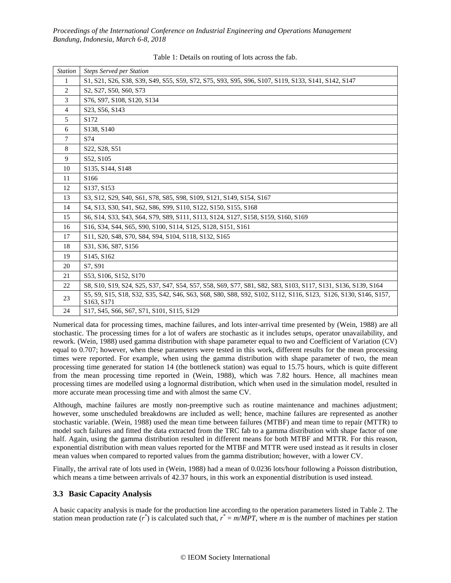<span id="page-3-0"></span>

| <b>Station</b> | <b>Steps Served per Station</b>                                                                                                                                                                                           |
|----------------|---------------------------------------------------------------------------------------------------------------------------------------------------------------------------------------------------------------------------|
| 1              | S1, S21, S26, S38, S39, S49, S55, S59, S72, S75, S93, S95, S96, S107, S119, S133, S141, S142, S147                                                                                                                        |
| 2              | S <sub>2</sub> , S <sub>27</sub> , S <sub>50</sub> , S <sub>60</sub> , S <sub>73</sub>                                                                                                                                    |
| 3              | S76, S97, S108, S120, S134                                                                                                                                                                                                |
| $\overline{4}$ | S23, S56, S143                                                                                                                                                                                                            |
| 5              | S <sub>172</sub>                                                                                                                                                                                                          |
| 6              | S138, S140                                                                                                                                                                                                                |
| $\tau$         | S74                                                                                                                                                                                                                       |
| 8              | S <sub>22</sub> , S <sub>28</sub> , S <sub>51</sub>                                                                                                                                                                       |
| 9              | S52, S105                                                                                                                                                                                                                 |
| 10             | S135, S144, S148                                                                                                                                                                                                          |
| 11             | S166                                                                                                                                                                                                                      |
| 12             | S <sub>137</sub> , S <sub>153</sub>                                                                                                                                                                                       |
| 13             | S3, S12, S29, S40, S61, S78, S85, S98, S109, S121, S149, S154, S167                                                                                                                                                       |
| 14             | S <sub>4</sub> , S <sub>13</sub> , S <sub>30</sub> , S <sub>41</sub> , S <sub>62</sub> , S <sub>86</sub> , S <sub>99</sub> , S <sub>110</sub> , S <sub>122</sub> , S <sub>150</sub> , S <sub>155</sub> , S <sub>168</sub> |
| 15             | S6, S14, S33, S43, S64, S79, S89, S111, S113, S124, S127, S158, S159, S160, S169                                                                                                                                          |
| 16             | S16, S34, S44, S65, S90, S100, S114, S125, S128, S151, S161                                                                                                                                                               |
| 17             | S11, S20, S48, S70, S84, S94, S104, S118, S132, S165                                                                                                                                                                      |
| 18             | S31, S36, S87, S156                                                                                                                                                                                                       |
| 19             | S145, S162                                                                                                                                                                                                                |
| 20             | S7. S91                                                                                                                                                                                                                   |
| 21             | S53, S106, S152, S170                                                                                                                                                                                                     |
| 22             | S8, S10, S19, S24, S25, S37, S47, S54, S57, S58, S69, S77, S81, S82, S83, S103, S117, S131, S136, S139, S164                                                                                                              |
| 23             | S5, S9, S15, S18, S32, S35, S42, S46, S63, S68, S80, S88, S92, S102, S112, S116, S123, S126, S130, S146, S157,<br>S <sub>163</sub> , S <sub>171</sub>                                                                     |
| 24             | S17, S45, S66, S67, S71, S101, S115, S129                                                                                                                                                                                 |

Table 1: Details on routing of lots across the fab.

Numerical data for processing times, machine failures, and lots inter-arrival time presented by (Wein, 1988) are all stochastic. The processing times for a lot of wafers are stochastic as it includes setups, operator unavailability, and rework. (Wein, 1988) used gamma distribution with shape parameter equal to two and Coefficient of Variation (CV) equal to 0.707; however, when these parameters were tested in this work, different results for the mean processing times were reported. For example, when using the gamma distribution with shape parameter of two, the mean processing time generated for station 14 (the bottleneck station) was equal to 15.75 hours, which is quite different from the mean processing time reported in (Wein, 1988), which was 7.82 hours. Hence, all machines mean processing times are modelled using a lognormal distribution, which when used in the simulation model, resulted in more accurate mean processing time and with almost the same CV.

Although, machine failures are mostly non-preemptive such as routine maintenance and machines adjustment; however, some unscheduled breakdowns are included as well; hence, machine failures are represented as another stochastic variable. (Wein, 1988) used the mean time between failures (MTBF) and mean time to repair (MTTR) to model such failures and fitted the data extracted from the TRC fab to a gamma distribution with shape factor of one half. Again, using the gamma distribution resulted in different means for both MTBF and MTTR. For this reason, exponential distribution with mean values reported for the MTBF and MTTR were used instead as it results in closer mean values when compared to reported values from the gamma distribution; however, with a lower CV.

Finally, the arrival rate of lots used in (Wein, 1988) had a mean of 0.0236 lots/hour following a Poisson distribution, which means a time between arrivals of 42.37 hours, in this work an exponential distribution is used instead.

## **3.3 Basic Capacity Analysis**

A basic capacity analysis is made for the production line according to the operation parameters listed in [Table](#page-4-0) 2. The station mean production rate  $(r^*)$  is calculated such that,  $r^* = m/MPT$ , where *m* is the number of machines per station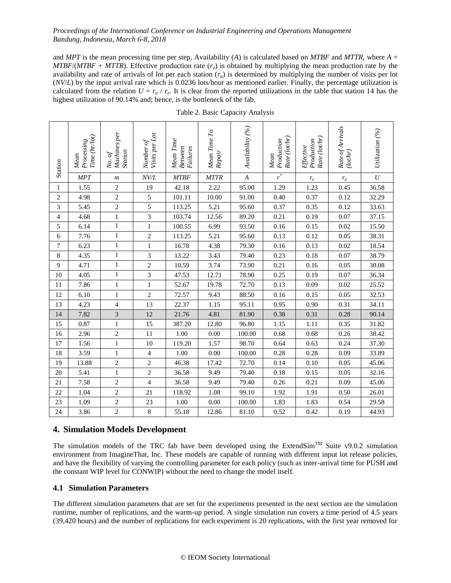and *MPT* is the mean processing time per step. Availability (*A*) is calculated based on *MTBF* and *MTTR*, where *A* = *MTBF*/*(MTBF* + *MTTR*). Effective production rate  $(r_e)$  is obtained by multiplying the mean production rate by the availability and rate of arrivals of lot per each station  $(r_a)$  is determined by multiplying the number of visits per lot (*NV*/*L*) by the input arrival rate which is 0.0236 lots/hour as mentioned earlier. Finally, the percentage utilization is calculated from the relation  $U = r_a / r_e$ . It is clear from the reported utilizations in the table that station 14 has the highest utilization of 90.14% and; hence, is the bottleneck of the fab.

<span id="page-4-0"></span>

| Station      | Time (hr/lot)<br>Processing<br>Mean | Machines per<br>Station<br>No. of | Visits per Lot<br>Number of | Mean Time<br><b>Between</b><br>$\label{1} Failure$ | Mean Time To<br>Repair | Availability (%) | Rate (lot/hr)<br>Production<br>Mean | Rate (lot/hr)<br>Production<br>Effective | Rate of Arrivals<br>(lothr) | Utilization (%)  |
|--------------|-------------------------------------|-----------------------------------|-----------------------------|----------------------------------------------------|------------------------|------------------|-------------------------------------|------------------------------------------|-----------------------------|------------------|
|              | <b>MPT</b>                          | $\boldsymbol{m}$                  | NV/L                        | <b>MTBF</b>                                        | <b>MTTR</b>            | $\boldsymbol{A}$ | $\overline{r}^*$                    | $r_e\,$                                  | $r_a$                       | $\boldsymbol{U}$ |
| $\mathbf{1}$ | 1.55                                | $\overline{2}$                    | 19                          | 42.18                                              | 2.22                   | 95.00            | 1.29                                | 1.23                                     | 0.45                        | 36.58            |
| 2            | 4.98                                | $\overline{c}$                    | 5                           | 101.11                                             | 10.00                  | 91.00            | 0.40                                | 0.37                                     | 0.12                        | 32.29            |
| 3            | 5.45                                | $\overline{2}$                    | 5                           | 113.25                                             | 5.21                   | 95.60            | 0.37                                | 0.35                                     | 0.12                        | 33.63            |
| 4            | 4.68                                | $\mathbf{1}$                      | $\overline{3}$              | 103.74                                             | 12.56                  | 89.20            | 0.21                                | 0.19                                     | 0.07                        | 37.15            |
| 5            | 6.14                                | $\mathbf{1}$                      | $\mathbf{1}$                | 100.55                                             | 6.99                   | 93.50            | 0.16                                | 0.15                                     | 0.02                        | 15.50            |
| 6            | 7.76                                | 1                                 | $\mathbf{2}$                | 113.25                                             | 5.21                   | 95.60            | 0.13                                | 0.12                                     | 0.05                        | 38.31            |
| 7            | 6.23                                | $\mathbf{1}$                      | $\mathbf{1}$                | 16.78                                              | 4.38                   | 79.30            | 0.16                                | 0.13                                     | 0.02                        | 18.54            |
| 8            | 4.35                                | $\mathbf{1}$                      | 3                           | 13.22                                              | 3.43                   | 79.40            | 0.23                                | 0.18                                     | 0.07                        | 38.79            |
| 9            | 4.71                                | $\mathbf{1}$                      | $\overline{2}$              | 10.59                                              | 3.74                   | 73.90            | 0.21                                | 0.16                                     | 0.05                        | 30.08            |
| 10           | 4.05                                | 1                                 | 3                           | 47.53                                              | 12.71                  | 78.90            | 0.25                                | 0.19                                     | 0.07                        | 36.34            |
| 11           | 7.86                                | $\mathbf{1}$                      | $\mathbf{1}$                | 52.67                                              | 19.78                  | 72.70            | 0.13                                | 0.09                                     | 0.02                        | 25.52            |
| 12           | 6.10                                | $\mathbf{1}$                      | $\mathbf{2}$                | 72.57                                              | 9.43                   | 88.50            | 0.16                                | 0.15                                     | 0.05                        | 32.53            |
| 13           | 4.23                                | $\overline{4}$                    | 13                          | 22.37                                              | 1.15                   | 95.11            | 0.95                                | 0.90                                     | 0.31                        | 34.11            |
| 14           | 7.82                                | $\mathfrak{Z}$                    | 12                          | 21.76                                              | 4.81                   | 81.90            | 0.38                                | 0.31                                     | 0.28                        | 90.14            |
| 15           | 0.87                                | 1                                 | 15                          | 387.20                                             | 12.80                  | 96.80            | 1.15                                | 1.11                                     | 0.35                        | 31.82            |
| 16           | 2.96                                | $\overline{c}$                    | 11                          | 1.00                                               | 0.00                   | 100.00           | 0.68                                | 0.68                                     | 0.26                        | 38.42            |
| 17           | 1.56                                | $\mathbf{1}$                      | 10                          | 119.20                                             | 1.57                   | 98.70            | 0.64                                | 0.63                                     | 0.24                        | 37.30            |
| 18           | 3.59                                | 1                                 | 4                           | 1.00                                               | 0.00                   | 100.00           | 0.28                                | 0.28                                     | 0.09                        | 33.89            |
| 19           | 13.88                               | $\overline{2}$                    | $\overline{2}$              | 46.38                                              | 17.42                  | 72.70            | 0.14                                | 0.10                                     | 0.05                        | 45.06            |
| 20           | 5.41                                | 1                                 | $\mathbf{2}$                | 36.58                                              | 9.49                   | 79.40            | 0.18                                | 0.15                                     | 0.05                        | 32.16            |
| 21           | 7.58                                | $\mathfrak{2}$                    | $\overline{4}$              | 36.58                                              | 9.49                   | 79.40            | 0.26                                | 0.21                                     | 0.09                        | 45.06            |
| 22           | 1.04                                | $\overline{2}$                    | 21                          | 118.92                                             | 1.08                   | 99.10            | 1.92                                | 1.91                                     | 0.50                        | 26.01            |
| 23           | 1.09                                | $\overline{c}$                    | 23                          | 1.00                                               | 0.00                   | 100.00           | 1.83                                | 1.83                                     | 0.54                        | 29.58            |
| 24           | 3.86                                | $\overline{c}$                    | 8                           | 55.18                                              | 12.86                  | 81.10            | 0.52                                | 0.42                                     | 0.19                        | 44.93            |

Table 2. Basic Capacity Analysis

# **4. Simulation Models Development**

The simulation models of the TRC fab have been developed using the ExtendSim<sup>TM</sup> Suite v9.0.2 simulation environment from ImagineThat, Inc. These models are capable of running with different input lot release policies, and have the flexibility of varying the controlling parameter for each policy (such as inter-arrival time for PUSH and the constant WIP level for CONWIP) without the need to change the model itself.

## **4.1 Simulation Parameters**

The different simulation parameters that are set for the experiments presented in the next section are the simulation runtime, number of replications, and the warm-up period. A single simulation run covers a time period of 4.5 years (39,420 hours) and the number of replications for each experiment is 20 replications, with the first year removed for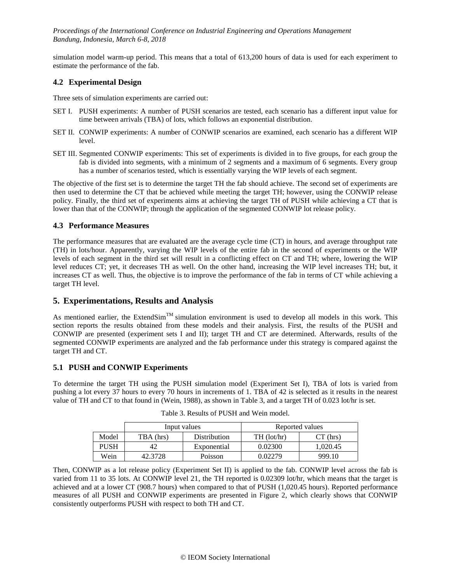simulation model warm-up period. This means that a total of 613,200 hours of data is used for each experiment to estimate the performance of the fab.

#### **4.2 Experimental Design**

Three sets of simulation experiments are carried out:

- SET I. PUSH experiments: A number of PUSH scenarios are tested, each scenario has a different input value for time between arrivals (TBA) of lots, which follows an exponential distribution.
- SET II. CONWIP experiments: A number of CONWIP scenarios are examined, each scenario has a different WIP level.
- SET III. Segmented CONWIP experiments: This set of experiments is divided in to five groups, for each group the fab is divided into segments, with a minimum of 2 segments and a maximum of 6 segments. Every group has a number of scenarios tested, which is essentially varying the WIP levels of each segment.

The objective of the first set is to determine the target TH the fab should achieve. The second set of experiments are then used to determine the CT that be achieved while meeting the target TH; however, using the CONWIP release policy. Finally, the third set of experiments aims at achieving the target TH of PUSH while achieving a CT that is lower than that of the CONWIP; through the application of the segmented CONWIP lot release policy.

### **4.3 Performance Measures**

The performance measures that are evaluated are the average cycle time (CT) in hours, and average throughput rate (TH) in lots/hour. Apparently, varying the WIP levels of the entire fab in the second of experiments or the WIP levels of each segment in the third set will result in a conflicting effect on CT and TH; where, lowering the WIP level reduces CT; yet, it decreases TH as well. On the other hand, increasing the WIP level increases TH; but, it increases CT as well. Thus, the objective is to improve the performance of the fab in terms of CT while achieving a target TH level.

## **5. Experimentations, Results and Analysis**

As mentioned earlier, the ExtendSim<sup>TM</sup> simulation environment is used to develop all models in this work. This section reports the results obtained from these models and their analysis. First, the results of the PUSH and CONWIP are presented (experiment sets I and II); target TH and CT are determined. Afterwards, results of the segmented CONWIP experiments are analyzed and the fab performance under this strategy is compared against the target TH and CT.

#### **5.1 PUSH and CONWIP Experiments**

<span id="page-5-0"></span>To determine the target TH using the PUSH simulation model (Experiment Set I), TBA of lots is varied from pushing a lot every 37 hours to every 70 hours in increments of 1. TBA of 42 is selected as it results in the nearest value of TH and CT to that found in (Wein, 1988), as shown in [Table 3,](#page-5-0) and a target TH of 0.023 lot/hr is set.

|       |           | Input values | Reported values |            |
|-------|-----------|--------------|-----------------|------------|
| Model | TBA (hrs) | Distribution | $TH$ (lot/hr)   | $CT$ (hrs) |
| PUSH  |           | Exponential  | 0.02300         | 1,020.45   |
| Wein  | 42.3728   | Poisson      | 0.02279         | 999.10     |

|  | Table 3. Results of PUSH and Wein model. |  |
|--|------------------------------------------|--|
|  |                                          |  |

Then, CONWIP as a lot release policy (Experiment Set II) is applied to the fab. CONWIP level across the fab is varied from 11 to 35 lots. At CONWIP level 21, the TH reported is 0.02309 lot/hr, which means that the target is achieved and at a lower CT (908.7 hours) when compared to that of PUSH (1,020.45 hours). Reported performance measures of all PUSH and CONWIP experiments are presented in [Figure 2,](#page-6-0) which clearly shows that CONWIP consistently outperforms PUSH with respect to both TH and CT.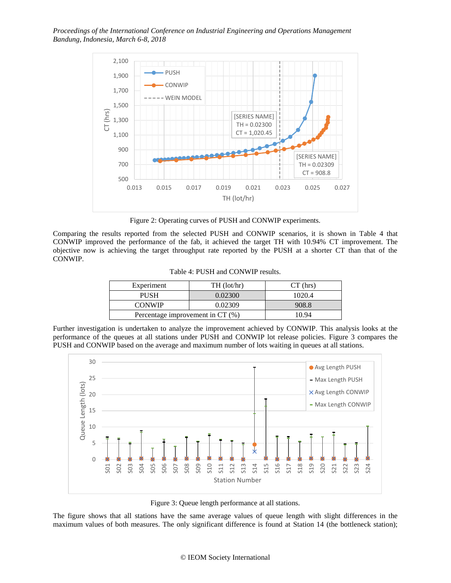

Figure 2: Operating curves of PUSH and CONWIP experiments.

<span id="page-6-1"></span><span id="page-6-0"></span>Comparing the results reported from the selected PUSH and CONWIP scenarios, it is shown in [Table 4](#page-6-1) that CONWIP improved the performance of the fab, it achieved the target TH with 10.94% CT improvement. The objective now is achieving the target throughput rate reported by the PUSH at a shorter CT than that of the CONWIP.

| Experiment                       | $TH$ (lot/hr) | $CT$ (hrs) |
|----------------------------------|---------------|------------|
| <b>PUSH</b>                      | 0.02300       | 1020.4     |
| <b>CONWIP</b>                    | 0.02309       | 908.8      |
| Percentage improvement in CT (%) | 10 94         |            |

Further investigation is undertaken to analyze the improvement achieved by CONWIP. This analysis looks at the performance of the queues at all stations under PUSH and CONWIP lot release policies. [Figure 3](#page-6-2) compares the PUSH and CONWIP based on the average and maximum number of lots waiting in queues at all stations.



Figure 3: Queue length performance at all stations.

<span id="page-6-2"></span>The figure shows that all stations have the same average values of queue length with slight differences in the maximum values of both measures. The only significant difference is found at Station 14 (the bottleneck station);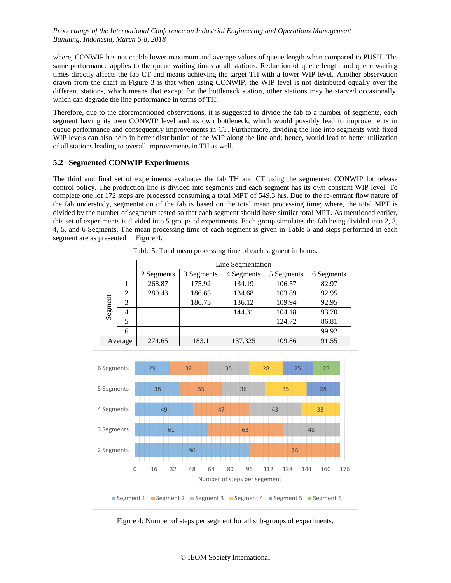where, CONWIP has noticeable lower maximum and average values of queue length when compared to PUSH. The same performance applies to the queue waiting times at all stations. Reduction of queue length and queue waiting times directly affects the fab CT and means achieving the target TH with a lower WIP level. Another observation drawn from the chart in [Figure 3](#page-6-2) is that when using CONWIP, the WIP level is not distributed equally over the different stations, which means that except for the bottleneck station, other stations may be starved occasionally, which can degrade the line performance in terms of TH.

Therefore, due to the aforementioned observations, it is suggested to divide the fab to a number of segments, each segment having its own CONWIP level and its own bottleneck, which would possibly lead to improvements in queue performance and consequently improvements in CT. Furthermore, dividing the line into segments with fixed WIP levels can also help in better distribution of the WIP along the line and; hence, would lead to better utilization of all stations leading to overall improvements in TH as well.

### **5.2 Segmented CONWIP Experiments**

The third and final set of experiments evaluates the fab TH and CT using the segmented CONWIP lot release control policy. The production line is divided into segments and each segment has its own constant WIP level. To complete one lot 172 steps are processed consuming a total MPT of 549.3 hrs. Due to the re-entrant flow nature of the fab understudy, segmentation of the fab is based on the total mean processing time; where, the total MPT is divided by the number of segments tested so that each segment should have similar total MPT. As mentioned earlier, this set of experiments is divided into 5 groups of experiments. Each group simulates the fab being divided into 2, 3, 4, 5, and 6 Segments. The mean processing time of each segment is given in [Table 5](#page-7-0) and steps performed in each segment are as presented in [Figure](#page-7-1) 4.

<span id="page-7-0"></span>

|         |                | Line Segmentation |            |            |            |            |  |  |
|---------|----------------|-------------------|------------|------------|------------|------------|--|--|
|         |                | 2 Segments        | 3 Segments | 4 Segments | 5 Segments | 6 Segments |  |  |
|         |                | 268.87            | 175.92     | 134.19     | 106.57     | 82.97      |  |  |
|         | 2              | 280.43            | 186.65     | 134.68     | 103.89     | 92.95      |  |  |
| Segment | 3              |                   | 186.73     | 136.12     | 109.94     | 92.95      |  |  |
|         | $\overline{4}$ |                   |            | 144.31     | 104.18     | 93.70      |  |  |
|         | 5              |                   |            |            | 124.72     | 86.81      |  |  |
|         | 6              |                   |            |            |            | 99.92      |  |  |
| Average |                | 274.65            | 183.1      | 137.325    | 109.86     | 91.55      |  |  |

Table 5: Total mean processing time of each segment in hours.



<span id="page-7-1"></span>Figure 4: Number of steps per segment for all sub-groups of experiments.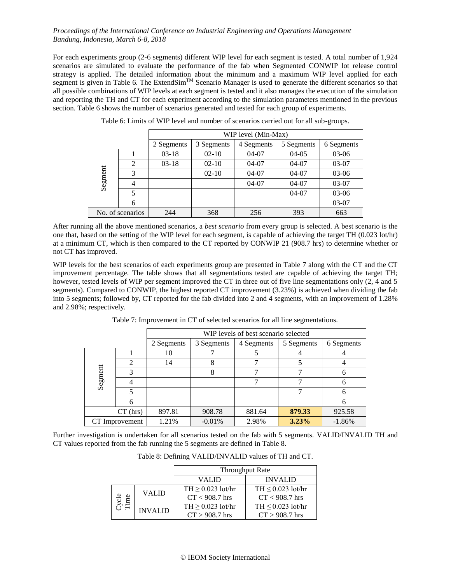For each experiments group (2-6 segments) different WIP level for each segment is tested. A total number of 1,924 scenarios are simulated to evaluate the performance of the fab when Segmented CONWIP lot release control strategy is applied. The detailed information about the minimum and a maximum WIP level applied for each segment is given in [Table 6.](#page-8-0) The ExtendSim<sup>TM</sup> Scenario Manager is used to generate the different scenarios so that all possible combinations of WIP levels at each segment is tested and it also manages the execution of the simulation and reporting the TH and CT for each experiment according to the simulation parameters mentioned in the previous section. [Table 6](#page-8-0) shows the number of scenarios generated and tested for each group of experiments.

<span id="page-8-0"></span>

|         |                  | WIP level (Min-Max) |            |            |            |            |
|---------|------------------|---------------------|------------|------------|------------|------------|
|         |                  | 2 Segments          | 3 Segments | 4 Segments | 5 Segments | 6 Segments |
|         |                  | $03-18$             | $02 - 10$  | $04-07$    | $04-05$    | 03-06      |
|         | 2                | $03-18$             | $02 - 10$  | $04-07$    | $04-07$    | $03-07$    |
| Segment | 3                |                     | $02 - 10$  | $04-07$    | $04-07$    | $03-06$    |
|         | 4                |                     |            | $04-07$    | $04-07$    | 03-07      |
|         | 5                |                     |            |            | $04-07$    | 03-06      |
|         | 6                |                     |            |            |            | $03-07$    |
|         | No. of scenarios | 244                 | 368        | 256        | 393        | 663        |

Table 6: Limits of WIP level and number of scenarios carried out for all sub-groups.

After running all the above mentioned scenarios, a *best scenario* from every group is selected. A best scenario is the one that, based on the setting of the WIP level for each segment, is capable of achieving the target TH (0.023 lot/hr) at a minimum CT, which is then compared to the CT reported by CONWIP 21 (908.7 hrs) to determine whether or not CT has improved.

WIP levels for the best scenarios of each experiments group are presented in [Table 7](#page-8-1) along with the CT and the CT improvement percentage. The table shows that all segmentations tested are capable of achieving the target TH; however, tested levels of WIP per segment improved the CT in three out of five line segmentations only (2, 4 and 5 segments). Compared to CONWIP, the highest reported CT improvement (3.23%) is achieved when dividing the fab into 5 segments; followed by, CT reported for the fab divided into 2 and 4 segments, with an improvement of 1.28% and 2.98%; respectively.

<span id="page-8-1"></span>

|         |                             | WIP levels of best scenario selected |            |            |            |            |
|---------|-----------------------------|--------------------------------------|------------|------------|------------|------------|
|         |                             | 2 Segments                           | 3 Segments | 4 Segments | 5 Segments | 6 Segments |
|         |                             | 10                                   |            |            |            |            |
|         | $\mathcal{D}_{\mathcal{A}}$ | 14                                   | 8          |            |            |            |
| Segment | 3                           |                                      | 8          |            |            |            |
|         |                             |                                      |            |            |            |            |
|         |                             |                                      |            |            |            |            |
|         |                             |                                      |            |            |            |            |
|         | $CT$ (hrs)                  | 897.81                               | 908.78     | 881.64     | 879.33     | 925.58     |
|         | CT Improvement              | 1.21%                                | $-0.01%$   | 2.98%      | 3.23%      | $-1.86%$   |

Table 7: Improvement in CT of selected scenarios for all line segmentations.

<span id="page-8-2"></span>Further investigation is undertaken for all scenarios tested on the fab with 5 segments. VALID/INVALID TH and CT values reported from the fab running the 5 segments are defined in [Table 8.](#page-8-2)

| Table 8: Defining VALID/INVALID values of TH and CT. |  |
|------------------------------------------------------|--|
|                                                      |  |

|             |                | <b>Throughput Rate</b> |                        |  |  |
|-------------|----------------|------------------------|------------------------|--|--|
|             |                | VALID.                 | <b>INVALID</b>         |  |  |
|             | <b>VALID</b>   | $TH > 0.023$ lot/hr    | $TH \leq 0.023$ lot/hr |  |  |
| ycle<br>ime |                | $CT < 908.7$ hrs       | $CT < 908.7$ hrs       |  |  |
|             | <b>INVALID</b> | $TH > 0.023$ lot/hr    | $TH < 0.023$ lot/hr    |  |  |
|             |                | $CT > 908.7$ hrs       | $CT > 908.7$ hrs       |  |  |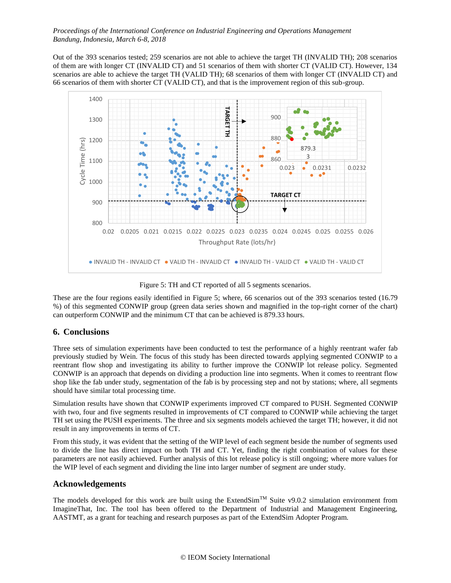Out of the 393 scenarios tested; 259 scenarios are not able to achieve the target TH (INVALID TH); 208 scenarios of them are with longer CT (INVALID CT) and 51 scenarios of them with shorter CT (VALID CT). However, 134 scenarios are able to achieve the target TH (VALID TH); 68 scenarios of them with longer CT (INVALID CT) and 66 scenarios of them with shorter CT (VALID CT), and that is the improvement region of this sub-group.



Figure 5: TH and CT reported of all 5 segments scenarios.

<span id="page-9-0"></span>These are the four regions easily identified in [Figure 5;](#page-9-0) where, 66 scenarios out of the 393 scenarios tested (16.79 %) of this segmented CONWIP group (green data series shown and magnified in the top-right corner of the chart) can outperform CONWIP and the minimum CT that can be achieved is 879.33 hours.

# **6. Conclusions**

Three sets of simulation experiments have been conducted to test the performance of a highly reentrant wafer fab previously studied by Wein. The focus of this study has been directed towards applying segmented CONWIP to a reentrant flow shop and investigating its ability to further improve the CONWIP lot release policy. Segmented CONWIP is an approach that depends on dividing a production line into segments. When it comes to reentrant flow shop like the fab under study, segmentation of the fab is by processing step and not by stations; where, all segments should have similar total processing time.

Simulation results have shown that CONWIP experiments improved CT compared to PUSH. Segmented CONWIP with two, four and five segments resulted in improvements of CT compared to CONWIP while achieving the target TH set using the PUSH experiments. The three and six segments models achieved the target TH; however, it did not result in any improvements in terms of CT.

From this study, it was evident that the setting of the WIP level of each segment beside the number of segments used to divide the line has direct impact on both TH and CT. Yet, finding the right combination of values for these parameters are not easily achieved. Further analysis of this lot release policy is still ongoing; where more values for the WIP level of each segment and dividing the line into larger number of segment are under study.

# **Acknowledgements**

The models developed for this work are built using the ExtendSim<sup>TM</sup> Suite v9.0.2 simulation environment from ImagineThat, Inc. The tool has been offered to the Department of Industrial and Management Engineering, AASTMT, as a grant for teaching and research purposes as part of the ExtendSim Adopter Program.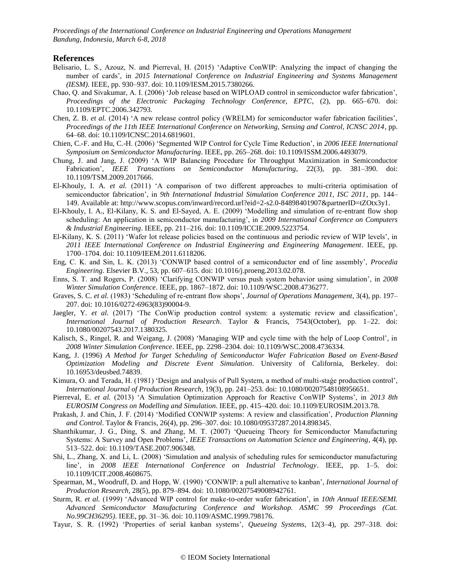#### **References**

- Belisario, L. S., Azouz, N. and Pierreval, H. (2015) 'Adaptive ConWIP: Analyzing the impact of changing the number of cards', in *2015 International Conference on Industrial Engineering and Systems Management (IESM)*. IEEE, pp. 930–937. doi: 10.1109/IESM.2015.7380266.
- Chao, Q. and Sivakumar, A. I. (2006) 'Job release based on WIPLOAD control in semiconductor wafer fabrication', *Proceedings of the Electronic Packaging Technology Conference, EPTC*, (2), pp. 665–670. doi: 10.1109/EPTC.2006.342793.
- Chen, Z. B. *et al.* (2014) 'A new release control policy (WRELM) for semiconductor wafer fabrication facilities', *Proceedings of the 11th IEEE International Conference on Networking, Sensing and Control, ICNSC 2014*, pp. 64–68. doi: 10.1109/ICNSC.2014.6819601.
- Chien, C.-F. and Hu, C.-H. (2006) 'Segmented WIP Control for Cycle Time Reduction', in *2006 IEEE International Symposium on Semiconductor Manufacturing*. IEEE, pp. 265–268. doi: 10.1109/ISSM.2006.4493079.
- Chung, J. and Jang, J. (2009) 'A WIP Balancing Procedure for Throughput Maximization in Semiconductor Fabrication', *IEEE Transactions on Semiconductor Manufacturing*, 22(3), pp. 381–390. doi: 10.1109/TSM.2009.2017666.
- El-Khouly, I. A. *et al.* (2011) 'A comparison of two different approaches to multi-criteria optimisation of semiconductor fabrication', in *9th International Industrial Simulation Conference 2011, ISC 2011*, pp. 144– 149. Available at: http://www.scopus.com/inward/record.url?eid=2-s2.0-84898401907&partnerID=tZOtx3y1.
- El-Khouly, I. A., El-Kilany, K. S. and El-Sayed, A. E. (2009) 'Modelling and simulation of re-entrant flow shop scheduling: An application in semiconductor manufacturing', in *2009 International Conference on Computers & Industrial Engineering*. IEEE, pp. 211–216. doi: 10.1109/ICCIE.2009.5223754.
- El-Kilany, K. S. (2011) 'Wafer lot release policies based on the continuous and periodic review of WIP levels', in *2011 IEEE International Conference on Industrial Engineering and Engineering Management*. IEEE, pp. 1700–1704. doi: 10.1109/IEEM.2011.6118206.
- Eng, C. K. and Sin, L. K. (2013) 'CONWIP based control of a semiconductor end of line assembly', *Procedia Engineering*. Elsevier B.V., 53, pp. 607–615. doi: 10.1016/j.proeng.2013.02.078.
- Enns, S. T. and Rogers, P. (2008) 'Clarifying CONWIP versus push system behavior using simulation', in *2008 Winter Simulation Conference*. IEEE, pp. 1867–1872. doi: 10.1109/WSC.2008.4736277.
- Graves, S. C. *et al.* (1983) 'Scheduling of re-entrant flow shops', *Journal of Operations Management*, 3(4), pp. 197– 207. doi: 10.1016/0272-6963(83)90004-9.
- Jaegler, Y. *et al.* (2017) 'The ConWip production control system: a systematic review and classification', *International Journal of Production Research*. Taylor & Francis, 7543(October), pp. 1–22. doi: 10.1080/00207543.2017.1380325.
- Kalisch, S., Ringel, R. and Weigang, J. (2008) 'Managing WIP and cycle time with the help of Loop Control', in *2008 Winter Simulation Conference*. IEEE, pp. 2298–2304. doi: 10.1109/WSC.2008.4736334.
- Kang, J. (1996) *A Method for Target Scheduling of Semiconductor Wafer Fabrication Based on Event-Based Optimization Modeling and Discrete Event Simulation*. University of California, Berkeley. doi: 10.16953/deusbed.74839.
- Kimura, O. and Terada, H. (1981) 'Design and analysis of Pull System, a method of multi-staǵe production control', *International Journal of Production Research*, 19(3), pp. 241–253. doi: 10.1080/00207548108956651.
- Pierreval, E. *et al.* (2013) 'A Simulation Optimization Approach for Reactive ConWIP Systems', in *2013 8th EUROSIM Congress on Modelling and Simulation*. IEEE, pp. 415–420. doi: 10.1109/EUROSIM.2013.78.
- Prakash, J. and Chin, J. F. (2014) 'Modified CONWIP systems: A review and classification', *Production Planning and Control*. Taylor & Francis, 26(4), pp. 296–307. doi: 10.1080/09537287.2014.898345.
- Shanthikumar, J. G., Ding, S. and Zhang, M. T. (2007) 'Queueing Theory for Semiconductor Manufacturing Systems: A Survey and Open Problems', *IEEE Transactions on Automation Science and Engineering*, 4(4), pp. 513–522. doi: 10.1109/TASE.2007.906348.
- Shi, L., Zhang, X. and Li, L. (2008) 'Simulation and analysis of scheduling rules for semiconductor manufacturing line', in *2008 IEEE International Conference on Industrial Technology*. IEEE, pp. 1–5. doi: 10.1109/ICIT.2008.4608675.
- Spearman, M., Woodruff, D. and Hopp, W. (1990) 'CONWIP: a pull alternative to kanban', *International Journal of Production Research*, 28(5), pp. 879–894. doi: 10.1080/00207549008942761.
- Sturm, R. *et al.* (1999) 'Advanced WIP control for make-to-order wafer fabrication', in *10th Annual IEEE/SEMI. Advanced Semiconductor Manufacturing Conference and Workshop. ASMC 99 Proceedings (Cat. No.99CH36295)*. IEEE, pp. 31–36. doi: 10.1109/ASMC.1999.798176.
- Tayur, S. R. (1992) 'Properties of serial kanban systems', *Queueing Systems*, 12(3–4), pp. 297–318. doi: